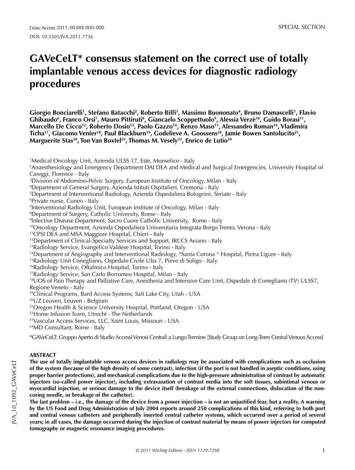# **GAVeCeLT\* consensus statement on the correct use of totally implantable venous access devices for diagnostic radiology procedures**

Giorgio Bonciarelli<sup>1</sup>, Stefano Batacchi<sup>2</sup>, Roberto Biffi<sup>3</sup>, Massimo Buononato<sup>4</sup>, Bruno Damascelli<sup>5</sup>, Flavio Ghibaudo<sup>6</sup>, Franco Orsi<sup>7</sup>, Mauro Pittiruti<sup>8</sup>, Giancarlo Scoppettuolo<sup>9</sup>, Alessia Verzè<sup>10</sup>, Guido Borasi<sup>11</sup>, Marcello De Cicco<sup>12</sup>, Roberto Dosio<sup>13</sup>, Paolo Gazzo<sup>14</sup>, Renzo Maso<sup>15</sup>, Alessandro Roman<sup>16</sup>, Vladimira Ticha<sup>17</sup>, Giacomo Venier<sup>18</sup>, Paul Blackburn<sup>19</sup>, Godelieve A. Goossens<sup>20</sup>, Jamie Bowen Santolucito<sup>21</sup>, Marguerite Stas<sup>20</sup>, Ton Van Boxtel<sup>22</sup>, Thomas M. Vesely<sup>23</sup>, Enrico de Lutio<sup>24</sup>

1 Medical Oncology Unit, Azienda ULSS 17, Este, Monselice - Italy

2 Anaesthesiology and Emergency Department DAI DEA and Medical and Surgical Emergencies, University Hospital of Careggi, Florence - Italy

3 Division of Abdomino-Pelvic Surgery, European Institute of Oncology, Milan - Italy

4 Department of General Surgery, Azienda Istituti Ospitalieri, Cremona - Italy

5 Department of Interventional Radiology, Azienda Ospedaliera Bolognini, Seriate - Italy

6 Private nurse, Cuneo - Italy

7 Interventional Radiology Unit, European Institute of Oncology, Milan - Italy

8 Department of Surgery, Catholic University, Rome - Italy

9 Infective Disease Department, Sacro Cuore Catholic University, Rome - Italy

10Oncology Department, Azienda Ospedaliera Universitaria Integrata Borgo Trento, Verona - Italy

11CPSI DEA and MSA Maggiore Hospital, Chieri - Italy

<sup>12</sup>Department of Clinical-Specialty Services and Support, IRCCS Aviano - Italv

13Radiology Service, Evangelico Valdese Hospital, Torino - Italy

14Department of Angiography and Interventional Radiology, "Santa Corona " Hospital, Pietra Ligure - Italy

<sup>15</sup>Radiology Unit Conegliano, Ospedale Civile Ulss 7, Pieve di Soligo - Italy

16Radiology Service, Oftalmico Hospital, Torino - Italy

17Radiology Service, San Carlo Borromeo Hospital, Milan - Italy

<sup>18</sup>UOS of Pain Therapy and Palliative Care, Anesthesia and Intensive Care Unit, Ospedale di Conegliano (TV) ULSS7, Regione Veneto - Italy

19Clinical Programs, Bard Access Systems, Salt Lake City, Utah - USA

20UZ Leuven, Leuven - Belgium

<sup>21</sup> Oregon Health & Science University Hospital, Portland, Oregon - USA

<sup>22</sup>Home Infusion Team, Utrecht - The Netherlands

23Vascular Access Services, LLC, Saint Louis, Missouri - USA

24MD Consultant, Rome - Italy

\*GAVeCeLT: Gruppo Aperto di Studio Accessi Venosi Centrali a Lungo Termine [Study Group on Long-Term Central Venous Access]

# **ABSTRACT**

**The use of totally implantable venous access devices in radiology may be associated with complications such as occlusion of the system (because of the high density of some contrast), infection (if the port is not handled in aseptic conditions, using proper barrier protections), and mechanical complications due to the high-pressure administration of contrast by automatic injectors (so-called power injector), including extravasation of contrast media into the soft tissues, subintimal venous or myocardial injection, or serious damage to the device itself (breakage of the external connections, dislocation of the noncoring needle, or breakage of the catheter).**

**The last problem – i.e., the damage of the device from a power injection – is not an unjustified fear, but a reality. A warning by the US Food and Drug Administration of July 2004 reports around 250 complications of this kind, referring to both port and central venous catheters and peripherally inserted central catheter systems, which occurred over a period of several years; in all cases, the damage occurred during the injection of contrast material by means of power injectors for computed tomography or magnetic resonance imaging procedures.**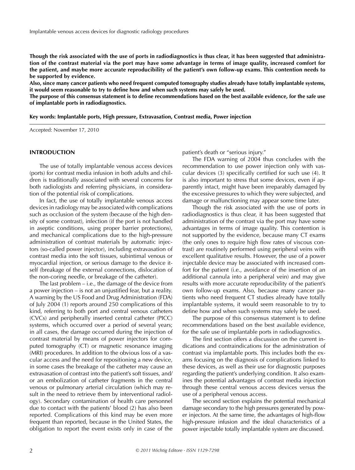**Though the risk associated with the use of ports in radiodiagnostics is thus clear, it has been suggested that administration of the contrast material via the port may have some advantage in terms of image quality, increased comfort for the patient, and maybe more accurate reproducibility of the patient's own follow-up exams. This contention needs to be supported by evidence.**

**Also, since many cancer patients who need frequent computed tomography studies already have totally implantable systems, it would seem reasonable to try to define how and when such systems may safely be used.**

**The purpose of this consensus statement is to define recommendations based on the best available evidence, for the safe use of implantable ports in radiodiagnostics.**

**Key words: Implantable ports, High pressure, Extravasation, Contrast media, Power injection**

Accepted: November 17, 2010

#### **INTRODUCTION**

The use of totally implantable venous access devices (ports) for contrast media infusion in both adults and children is traditionally associated with several concerns for both radiologists and referring physicians, in consideration of the potential risk of complications.

In fact, the use of totally implantable venous access devices in radiology may be associated with complications such as occlusion of the system (because of the high density of some contrast), infection (if the port is not handled in aseptic conditions, using proper barrier protections), and mechanical complications due to the high-pressure administration of contrast materials by automatic injectors (so-called power injector), including extravasation of contrast media into the soft tissues, subintimal venous or myocardial injection, or serious damage to the device itself (breakage of the external connections, dislocation of the non-coring needle, or breakage of the catheter).

The last problem – i.e., the damage of the device from a power injection – is not an unjustified fear, but a reality. A warning by the US Food and Drug Administration (FDA) of July 2004 (1) reports around 250 complications of this kind, referring to both port and central venous catheters (CVCs) and peripherally inserted central catheter (PICC) systems, which occurred over a period of several years; in all cases, the damage occurred during the injection of contrast material by means of power injectors for computed tomography (CT) or magnetic resonance imaging (MRI) procedures. In addition to the obvious loss of a vascular access and the need for repositioning a new device, in some cases the breakage of the catheter may cause an extravasation of contrast into the patient's soft tissues, and/ or an embolization of catheter fragments in the central venous or pulmonary arterial circulation (which may result in the need to retrieve them by interventional radiology). Secondary contamination of health care personnel due to contact with the patients' blood (2) has also been reported. Complications of this kind may be even more frequent than reported, because in the United States, the obligation to report the event exists only in case of the patient's death or "serious injury."

The FDA warning of 2004 thus concludes with the recommendation to use power injection only with vascular devices (3) specifically certified for such use (4). It is also important to stress that some devices, even if apparently intact, might have been irreparably damaged by the excessive pressures to which they were subjected, and damage or malfunctioning may appear some time later.

Though the risk associated with the use of ports in radiodiagnostics is thus clear, it has been suggested that administration of the contrast via the port may have some advantages in terms of image quality. This contention is not supported by the evidence, because many CT exams (the only ones to require high flow rates of viscous contrast) are routinely performed using peripheral veins with excellent qualitative results. However, the use of a power injectable device may be associated with increased comfort for the patient (i.e., avoidance of the insertion of an additional cannula into a peripheral vein) and may give results with more accurate reproducibility of the patient's own follow-up exams. Also, because many cancer patients who need frequent CT studies already have totally implantable systems, it would seem reasonable to try to define how and when such systems may safely be used.

The purpose of this consensus statement is to define recommendations based on the best available evidence, for the safe use of implantable ports in radiodiagnostics.

The first section offers a discussion on the current indications and contraindications for the administration of contrast via implantable ports. This includes both the exams focusing on the diagnosis of complications linked to these devices, as well as their use for diagnostic purposes regarding the patient's underlying condition. It also examines the potential advantages of contrast media injection through these central venous access devices versus the use of a peripheral venous access.

The second section explains the potential mechanical damage secondary to the high pressures generated by power injectors. At the same time, the advantages of high-flow high-pressure infusion and the ideal characteristics of a power injectable totally implantable system are discussed.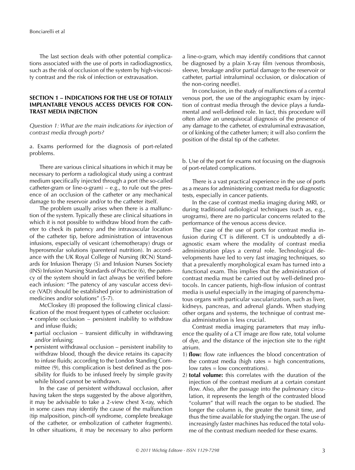The last section deals with other potential complications associated with the use of ports in radiodiagnostics, such as the risk of occlusion of the system by high-viscosity contrast and the risk of infection or extravasation.

# **SECTION 1 – INDICATIONS FOR THE USE OF TOTALLY IMPLANTABLE VENOUS ACCESS DEVICES FOR CON-TRAST MEDIA INJECTION**

*Question 1: What are the main indications for injection of contrast media through ports?*

a. Exams performed for the diagnosis of port-related problems.

There are various clinical situations in which it may be necessary to perform a radiological study using a contrast medium specifically injected through a port (the so-called catheter-gram or line-o-gram)  $-$  e.g., to rule out the presence of an occlusion of the catheter or any mechanical damage to the reservoir and/or to the catheter itself.

The problem usually arises when there is a malfunction of the system. Typically these are clinical situations in which it is not possible to withdraw blood from the catheter to check its patency and the intravascular location of the catheter tip, before administration of intravenous infusions, especially of vesicant (chemotherapy) drugs or hyperosmolar solutions (parenteral nutrition). In accordance with the UK Royal College of Nursing (RCN) Standards for Infusion Therapy (5) and Infusion Nurses Society (INS) Infusion Nursing Standards of Practice (6), the patency of the system should in fact always be verified before each infusion: "The patency of any vascular access device (VAD) should be established prior to administration of medicines and/or solutions" (5-7).

McCloskey (8) proposed the following clinical classification of the most frequent types of catheter occlusion:

- complete occlusion persistent inability to withdraw and infuse fluids;
- partial occlusion transient difficulty in withdrawing and/or infusing;
- persistent withdrawal occlusion persistent inability to withdraw blood, though the device retains its capacity to infuse fluids; according to the London Standing Committee (9), this complication is best defined as the possibility for fluids to be infused freely by simple gravity while blood cannot be withdrawn.

In the case of persistent withdrawal occlusion, after having taken the steps suggested by the above algorithm, it may be advisable to take a 2-view chest X-ray, which in some cases may identify the cause of the malfunction (tip malposition, pinch-off syndrome, complete breakage of the catheter, or embolization of catheter fragments). In other situations, it may be necessary to also perform

a line-o-gram, which may identify conditions that cannot be diagnosed by a plain X-ray film (venous thrombosis, sleeve, breakage and/or partial damage to the reservoir or catheter, partial intraluminal occlusion, or dislocation of the non-coring needle).

In conclusion, in the study of malfunctions of a central venous port, the use of the angiographic exam by injection of contrast media through the device plays a fundamental and well-defined role. In fact, this procedure will often allow an unequivocal diagnosis of the presence of any damage to the catheter, of extraluminal extravasation, or of kinking of the catheter lumen; it will also confirm the position of the distal tip of the catheter.

b. Use of the port for exams not focusing on the diagnosis of port-related complications.

There is a vast practical experience in the use of ports as a means for administering contrast media for diagnostic tests, especially in cancer patients.

In the case of contrast media imaging during MRI, or during traditional radiological techniques (such as, e.g., urograms), there are no particular concerns related to the performance of the venous access device.

The case of the use of ports for contrast media infusion during CT is different. CT is undoubtedly a diagnostic exam where the modality of contrast media administration plays a central role. Technological developments have led to very fast imaging techniques, so that a prevalently morphological exam has turned into a functional exam. This implies that the administration of contrast media must be carried out by well-defined protocols. In cancer patients, high-flow infusion of contrast media is useful especially in the imaging of parenchymatous organs with particular vascularization, such as liver, kidneys, pancreas, and adrenal glands. When studying other organs and systems, the technique of contrast media administration is less crucial.

Contrast media imaging parameters that may influence the quality of a CT image are flow rate, total volume of dye, and the distance of the injection site to the right atrium.

- 1) **flow:** flow rate influences the blood concentration of the contrast media (high rates  $=$  high concentrations, low rates = low concentrations).
- 2) **total volume:** this correlates with the duration of the injection of the contrast medium at a certain constant flow. Also, after the passage into the pulmonary circulation, it represents the length of the contrasted blood "column" that will reach the organ to be studied. The longer the column is, the greater the transit time, and thus the time available for studying the organ. The use of increasingly faster machines has reduced the total volume of the contrast medium needed for these exams.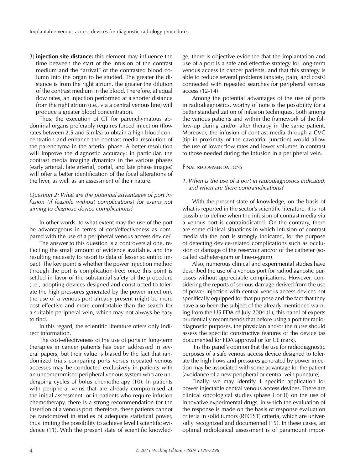3) **injection site distance:** this element may influence the time between the start of the infusion of the contrast medium and the "arrival" of the contrasted blood column into the organ to be studied. The greater the distance is from the right atrium, the greater the dilution of the contrast medium in the blood. Therefore, at equal flow rates, an injection performed at a shorter distance from the right atrium (i.e., via a central venous line) will produce a greater blood concentration.

Thus, the execution of CT for parenchymatous abdominal organs preferably requires forced injection (flow rates between 2.5 and 5 ml/s) to obtain a high blood concentration and enhance the contrast media resolution of the parenchyma in the arterial phase. A better resolution will improve the diagnostic accuracy; in particular, the contrast media imaging dynamics in the various phases (early arterial, late arterial, portal, and late phase images) will offer a better identification of the focal alterations of the liver, as well as an assessment of their nature.

# *Question 2: What are the potential advantages of port infusion (if feasible without complications) for exams not aiming to diagnose device complications?*

In other words, to what extent may the use of the port be advantageous in terms of cost/effectiveness as compared with the use of a peripheral venous access device?

The answer to this question is a controversial one, reflecting the small amount of evidence available, and the resulting necessity to resort to data of lesser scientific impact. The key point is whether the power injection method through the port is complication-free; once this point is settled in favor of the substantial safety of the procedure (i.e., adopting devices designed and constructed to tolerate the high pressures generated by the power injection), the use of a venous port already present might be more cost effective and more comfortable than the search for a suitable peripheral vein, which may not always be easy to find.

In this regard, the scientific literature offers only indirect information.

The cost-effectiveness of the use of ports in long-term therapies in cancer patients has been addressed in several papers, but their value is biased by the fact that randomized trials comparing ports versus repeated venous accesses may be conducted exclusively in patients with an uncompromised peripheral venous system who are undergoing cycles of bolus chemotherapy (10). In patients with peripheral veins that are already compromised at the initial assessment, or in patients who require infusion chemotherapy, there is a strong recommendation for the insertion of a venous port: therefore, these patients cannot be randomized in studies of adequate statistical power, thus limiting the possibility to achieve level I scientific evidence (11). With the present state of scientific knowledge, there is objective evidence that the implantation and use of a port is a safe and effective strategy for long-term venous access in cancer patients, and that this strategy is able to reduce several problems (anxiety, pain, and costs) connected with repeated searches for peripheral venous access (12-14).

Among the potential advantages of the use of ports in radiodiagnostics, worthy of note is the possibility for a better standardization of infusion techniques, both among the various patients and within the framework of the follow-up during and/or after therapy in the same patient. Moreover, the infusion of contrast media through a CVC (tip in proximity of the cavoatrial junction) would allow the use of lower flow rates and lower volumes in contrast to those needed during the infusion in a peripheral vein.

#### FINAL RECOMMENDATIONS

## *1. When is the use of a port in radiodiagnostics indicated, and when are there contraindications?*

With the present state of knowledge, on the basis of what is reported in the sector's scientific literature, it is not possible to define when the infusion of contrast media via a venous port is contraindicated. On the contrary, there are some clinical situations in which infusion of contrast media via the port is strongly indicated, for the purpose of detecting device-related complications such as occlusion or damage of the reservoir and/or of the catheter (socalled catheter-gram or line-o-gram).

Also, numerous clinical and experimental studies have described the use of a venous port for radiodiagnostic purposes without appreciable complications. However, considering the reports of serious damage derived from the use of power injection with central venous access devices not specifically equipped for that purpose and the fact that they have also been the subject of the already-mentioned warning from the US FDA of July 2004 (1), this panel of experts prudentially recommends that before using a port for radiodiagnostic purposes, the physician and/or the nurse should assess the specific constructive features of the device (as documented for FDA approval or for CE mark).

It is this panel's opinion that the use for radiodiagnostic purposes of a safe venous access device designed to tolerate the high flows and pressures generated by power injection may be associated with some advantage for the patient (avoidance of a new peripheral or central vein puncture).

Finally, we may identify 1 specific application for power injectable central venous access devices. There are clinical oncological studies (phase I or II) on the use of innovative experimental drugs, in which the evaluation of the response is made on the basis of response evaluation criteria in solid tumors (RECIST) criteria, which are universally recognized and documented (15). In these cases, an optimal radiological assessment is of paramount impor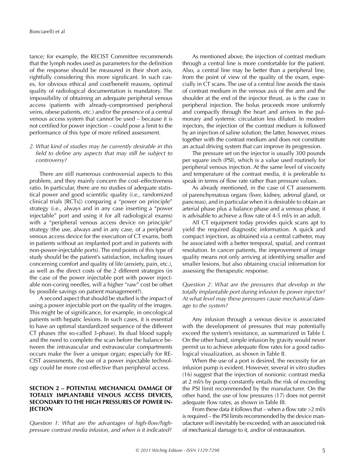tance; for example, the RECIST Committee recommends that the lymph nodes used as parameters for the definition of the response should be measured in their short axis, rightfully considering this more significant. In such cases, for obvious ethical and cost/benefit reasons, optimal quality of radiological documentation is mandatory. The impossibility of obtaining an adequate peripheral venous access (patients with already-compromised peripheral veins, obese patients, etc.) and/or the presence of a central venous access system that cannot be used – because it is not certified for power injection – could pose a limit to the performance of this type of more refined assessment.

## *2. What kind of studies may be currently desirable in this field to define any aspects that may still be subject to controversy?*

There are still numerous controversial aspects to this problem, and they mainly concern the cost–effectiveness ratio. In particular, there are no studies of adequate statistical power and good scientific quality (i.e., randomized clinical trials [RCTs]) comparing a "power on principle" strategy (i.e., always and in any case inserting a "power injectable" port and using it for all radiological exams) with a "peripheral venous access device on principle" strategy (the use, always and in any case, of a peripheral venous access device for the execution of CT exams, both in patients without an implanted port and in patients with non-power-injectable ports). The end points of this type of study should be the patient's satisfaction, including issues concerning comfort and quality of life (anxiety, pain, etc.), as well as the direct costs of the 2 different strategies (in the case of the power injectable port with power injectable non-coring needles, will a higher "raw" cost be offset by possible savings on patient management?).

A second aspect that should be studied is the impact of using a power injectable port on the quality of the images. This might be of significance, for example, in oncological patients with hepatic lesions. In such cases, it is essential to have an optimal standardized sequence of the different CT phases (the so-called 3-phase). Its dual blood supply and the need to complete the scan before the balance between the intravascular and extravascular compartments occurs make the liver a unique organ; especially for RE-CIST assessments, the use of a power injectable technology could be more cost-effective than peripheral access.

## **SECTION 2 – POTENTIAL MECHANICAL DAMAGE OF TOTALLY IMPLANTABLE VENOUS ACCESS DEVICES, SECONDARY TO THE HIGH PRESSURES OF POWER IN-JECTION**

*Question 1: What are the advantages of high-flow/highpressure contrast media infusion, and when is it indicated?*

As mentioned above, the injection of contrast medium through a central line is more comfortable for the patient. Also, a central line may be better than a peripheral line, from the point of view of the quality of the exam, especially in CT scans. The use of a central line avoids the stasis of contrast medium in the venous axis of the arm and the shoulder at the end of the injector thrust, as is the case in peripheral injection. The bolus proceeds more uniformly and compactly through the heart and arrives in the pulmonary and systemic circulation less diluted. In modern injectors, the injection of the contrast medium is followed by an injection of saline solution; the latter, however, mixes together with the contrast medium and does not constitute an actual driving system that can improve its progression.

The pressure set on the injector is usually 300 pounds per square inch (PSI), which is a value used routinely for peripheral venous injection. At the same level of viscosity and temperature of the contrast media, it is preferable to speak in terms of flow rate rather than pressure values.

As already mentioned, in the case of CT assessments of parenchymatous organs (liver, kidney, adrenal gland, or pancreas), and in particular when it is desirable to obtain an arterial phase plus a balance phase and a venous phase, it is advisable to achieve a flow rate of 4-5 ml/s in an adult.

All CT equipment today provides quick scans apt to yield the required diagnostic information. A quick and compact injection, as obtained via a central catheter, may be associated with a better temporal, spatial, and contrast resolution. In cancer patients, the improvement of image quality means not only arriving at identifying smaller and smaller lesions, but also obtaining crucial information for assessing the therapeutic response.

*Question 2: What are the pressures that develop in the totally implantable port during infusion by power injector? At what level may these pressures cause mechanical damage to the system?*

Any infusion through a venous device is associated with the development of pressures that may potentially exceed the system's resistance, as summarized in Table I. On the other hand, simple infusion by gravity would never permit us to achieve adequate flow rates for a good radiological visualization, as shown in Table II.

When the use of a port is desired, the necessity for an infusion pump is evident. However, several in vitro studies (16) suggest that the injection of nonionic contrast media at 2 ml/s by pump constantly entails the risk of exceeding the PSI limit recommended by the manufacturer. On the other hand, the use of low pressures (17) does not permit adequate flow rates, as shown in Table III.

From these data it follows that – when a flow rate >2 ml/s is required – the PSI limits recommended by the device manufacturer will inevitably be exceeded, with an associated risk of mechanical damage to it, and/or of extravasation.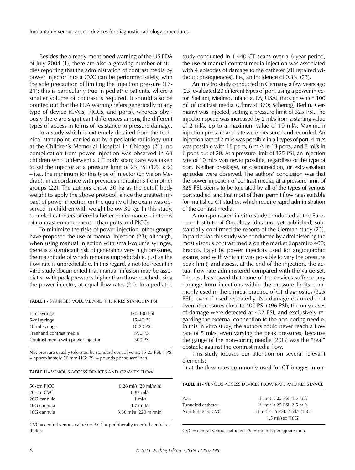Besides the already-mentioned warning of the US FDA of July 2004 (1), there are also a growing number of studies reporting that the administration of contrast media by power injector into a CVC can be performed safely, with the sole precaution of limiting the injection pressure (17- 21); this is particularly true in pediatric patients, where a smaller volume of contrast is required. It should also be pointed out that the FDA warning refers generically to any type of device (CVCs, PICCs, and ports), whereas obviously there are significant differences among the different types of access in terms of resistance to pressure damage.

In a study which is extremely detailed from the technical standpoint, carried out by a pediatric radiology unit at the Children's Memorial Hospital in Chicago (21), no complication from power injection was observed in 63 children who underwent a CT body scan; care was taken to set the injector at a pressure limit of 25 PSI (172 kPa) – i.e., the minimum for this type of injector (En Vision Medrad), in accordance with previous indications from other groups (22). The authors chose 30 kg as the cutoff body weight to apply the above protocol, since the greatest impact of power injection on the quality of the exam was observed in children with weight below 30 kg. In this study, tunneled catheters offered a better performance – in terms of contrast enhancement – than ports and PICCs.

To minimize the risks of power injection, other groups have proposed the use of manual injection (23), although, when using manual injection with small-volume syringes, there is a significant risk of generating very high pressures, the magnitude of which remains unpredictable, just as the flow rate is unpredictable. In this regard, a not-too-recent in vitro study documented that manual infusion may be associated with peak pressures higher than those reached using the power injector, at equal flow rates (24). In a pediatric

**TABLE I -** SYRINGES VOLUME AND THEIR RESISTANCE IN PSI

| 1-ml syringe                       | 120-300 PSI |
|------------------------------------|-------------|
| 5-ml syringe                       | 15-40 PSI   |
| 10-ml syringe                      | 10-20 PSI   |
| Freehand contrast media            | $>90$ PSI   |
| Contrast media with power injector | 300 PSI     |
|                                    |             |

NB: pressure usually tolerated by standard central veins: 15-25 PSI; 1 PSI  $=$  approximately 50 mm HG; PSI  $=$  pounds per square inch.

**TABLE II -** VENOUS ACCESS DEVICES AND GRAVITY FLOW

| 50-cm PICC  | $0.26$ ml/s $(20 \text{ ml/min})$ |
|-------------|-----------------------------------|
| 20-cm CVC   | $0.83$ ml/s                       |
| 20G cannula | 1 ml/s                            |
| 18G cannula | $1.75$ ml/s                       |
| 16G cannula | 3.66 ml/s $(220 \text{ ml/min})$  |
|             |                                   |

CVC = central venous catheter; PICC = peripherally inserted central catheter.

study conducted in 1,440 CT scans over a 6-year period, the use of manual contrast media injection was associated with 4 episodes of damage to the catheter (all repaired without consequences), i.e., an incidence of 0.3% (23).

An in vitro study conducted in Germany a few years ago (25) evaluated 20 different types of port, using a power injector (Stellant; Medrad, Inianola, PA, USA), through which 100 ml of contrast media (Ultravist 370; Schering, Berlin, Germany) was injected, setting a pressure limit of 325 PSI. The injection speed was increased by 2 ml/s from a starting value of 2 ml/s, up to a maximum value of 10 ml/s. Maximum injection pressure and rate were measured and recorded. An injection rate of 2 ml/s was possible in all types of port, 4 ml/s was possible with 18 ports, 6 ml/s in 13 ports, and 8 ml/s in 6 ports out of 20. At a pressure limit of 325 PSI, an injection rate of 10 ml/s was never possible, regardless of the type of port. Neither breakage, or disconnection, or extravasation episodes were observed. The authors' conclusion was that the power injection of contrast media, at a pressure limit of 325 PSI, seems to be tolerated by all of the types of venous port studied, and that most of them permit flow rates suitable for multislice CT studies, which require rapid administration of the contrast media.

A nonsponsored in vitro study conducted at the European Institute of Oncology (data not yet published) substantially confirmed the reports of the German study (25). In particular, this study was conducted by administering the most viscous contrast media on the market (Iopamiro 400; Bracco, Italy) by power injectors used for angiographic exams, and with which it was possible to vary the pressure peak limit, and assess, at the end of the injection, the actual flow rate administered compared with the value set. The results showed that none of the devices suffered any damage from injections within the pressure limits commonly used in the clinical practice of CT diagnostics (325 PSI), even if used repeatedly. No damage occurred, not even at pressures close to 400 PSI (396 PSI); the only cases of damage were detected at 432 PSI, and exclusively regarding the external connection to the non-coring needle. In this in vitro study, the authors could never reach a flow rate of 5 ml/s, even varying the peak pressures, because the gauge of the non-coring needle (20G) was the "real" obstacle against the contrast media flow.

This study focuses our attention on several relevant elements:

1) at the flow rates commonly used for CT images in on-

| <b>TABLE III -</b> VENOUS ACCESS DEVICES FLOW RATE AND RESISTANCE |
|-------------------------------------------------------------------|
|-------------------------------------------------------------------|

| Port              | if limit is $25$ PSI: $1.5$ ml/s           |
|-------------------|--------------------------------------------|
| Tunneled catheter | if limit is $25$ PSI: $2.5$ ml/s           |
| Non-tunneled CVC  | if limit is 15 PSI: $2 \text{ ml/s}$ (16G) |
|                   | 1.5 ml/sec (18G)                           |

CVC = central venous catheter; PSI = pounds per square inch.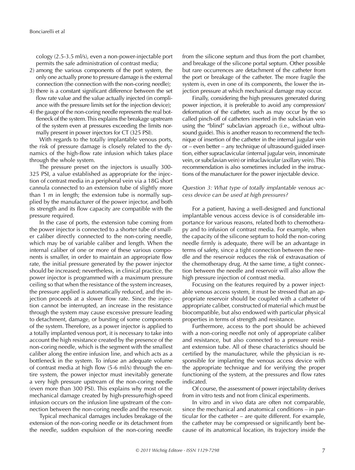cology (2.5-3.5 ml/s), even a non-power-injectable port permits the safe administration of contrast media;

- 2) among the various components of the port system, the only one actually prone to pressure damage is the external connection (the connection with the non-coring needle);
- 3) there is a constant significant difference between the set flow rate value and the value actually injected (in compliance with the pressure limits set for the injection device);
- 4) the gauge of the non-coring needle represents the real bottleneck of the system. This explains the breakage upstream of the system even at pressures exceeding the limits normally present in power injectors for CT (325 PSI).

With regards to the totally implantable venous ports, the risk of pressure damage is closely related to the dynamics of the high-flow rate infusion which takes place through the whole system.

The pressure preset on the injectors is usually 300- 325 PSI, a value established as appropriate for the injection of contrast media in a peripheral vein via a 18G short cannula connected to an extension tube of slightly more than 1 m in length; the extension tube is normally supplied by the manufacturer of the power injector, and both its strength and its flow capacity are compatible with the pressure required.

In the case of ports, the extension tube coming from the power injector is connected to a shorter tube of smaller caliber directly connected to the non-coring needle, which may be of variable caliber and length. When the internal caliber of one or more of these various components is smaller, in order to maintain an appropriate flow rate, the initial pressure generated by the power injector should be increased; nevertheless, in clinical practice, the power injector is programmed with a maximum pressure ceiling so that when the resistance of the system increases, the pressure applied is automatically reduced, and the injection proceeds at a slower flow rate. Since the injection cannot be interrupted, an increase in the resistance through the system may cause excessive pressure leading to detachment, damage, or bursting of some components of the system. Therefore, as a power injector is applied to a totally implanted venous port, it is necessary to take into account the high resistance created by the presence of the non-coring needle, which is the segment with the smallest caliber along the entire infusion line, and which acts as a bottleneck in the system. To infuse an adequate volume of contrast media at high flow (5-6 ml/s) through the entire system, the power injector must inevitably generate a very high pressure upstream of the non-coring needle (even more than 300 PSI). This explains why most of the mechanical damage created by high-pressure/high-speed infusion occurs on the infusion line upstream of the connection between the non-coring needle and the reservoir.

Typical mechanical damages includes breakage of the extension of the non-coring needle or its detachment from the needle, sudden expulsion of the non-coring needle

from the silicone septum and thus from the port chamber, and breakage of the silicone portal septum. Other possible but rare occurrences are detachment of the catheter from the port or breakage of the catheter. The more fragile the system is, even in one of its components, the lower the injection pressure at which mechanical damage may occur.

Finally, considering the high pressures generated during power injection, it is preferable to avoid any compression/ deformation of the catheter, such as may occur by the so called pinch-off of catheters inserted in the subclavian vein using the "blind" subclavian approach (i.e., without ultrasound guide). This is another reason to recommend the technique of insertion of the catheter in the internal jugular vein or – even better – any technique of ultrasound-guided insertion, either supraclavicular (internal jugular vein, innominate vein, or subclavian vein) or infraclavicular (axillary vein). This recommendation is also sometimes included in the instructions of the manufacturer for the power injectable device.

# *Question 3: What type of totally implantable venous access device can be used at high pressures?*

For a patient, having a well-designed and functional implantable venous access device is of considerable importance for various reasons, related both to chemotherapy and to infusion of contrast media. For example, when the capacity of the silicone septum to hold the non-coring needle firmly is adequate, there will be an advantage in terms of safety, since a tight connection between the needle and the reservoir reduces the risk of extravasation of the chemotherapy drug. At the same time, a tight connection between the needle and reservoir will also allow the high pressure injection of contrast media.

Focusing on the features required by a power injectable venous access system, it must be stressed that an appropriate reservoir should be coupled with a catheter of appropriate caliber, constructed of material which must be biocompatible, but also endowed with particular physical properties in terms of strength and resistance.

Furthermore, access to the port should be achieved with a non-coring needle not only of appropriate caliber and resistance, but also connected to a pressure resistant extension tube. All of these characteristics should be certified by the manufacturer, while the physician is responsible for implanting the venous access device with the appropriate technique and for verifying the proper functioning of the system, at the pressures and flow rates indicated.

Of course, the assessment of power injectability derives from in vitro tests and not from clinical experiments.

In vitro and in vivo data are often not comparable, since the mechanical and anatomical conditions – in particular for the catheter – are quite different. For example, the catheter may be compressed or significantly bent because of its anatomical location, its trajectory inside the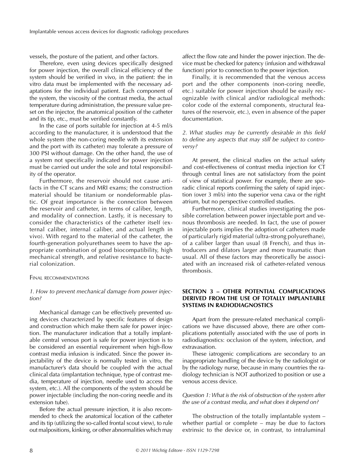vessels, the posture of the patient, and other factors.

Therefore, even using devices specifically designed for power injection, the overall clinical efficiency of the system should be verified in vivo, in the patient: the in vitro data must be implemented with the necessary adaptations for the individual patient. Each component of the system, the viscosity of the contrast media, the actual temperature during administration, the pressure value preset on the injector, the anatomical position of the catheter and its tip, etc., must be verified constantly.

In the case of ports suitable for injection at 4-5 ml/s according to the manufacturer, it is understood that the whole system (the non-coring needle with its extension and the port with its catheter) may tolerate a pressure of 300 PSI without damage. On the other hand, the use of a system not specifically indicated for power injection must be carried out under the sole and total responsibility of the operator.

Furthermore, the reservoir should not cause artifacts in the CT scans and MRI exams; the construction material should be titanium or nondeformable plastic. Of great importance is the connection between the reservoir and catheter, in terms of caliber, length, and modality of connection. Lastly, it is necessary to consider the characteristics of the catheter itself (external caliber, internal caliber, and actual length in vivo). With regard to the material of the catheter, the fourth-generation polyurethanes seem to have the appropriate combination of good biocompatibility, high mechanical strength, and relative resistance to bacterial colonization.

#### FINAL RECOMMENDATIONS

#### *1. How to prevent mechanical damage from power injection?*

Mechanical damage can be effectively prevented using devices characterized by specific features of design and construction which make them safe for power injection. The manufacturer indication that a totally implantable central venous port is safe for power injection is to be considered an essential requirement when high-flow contrast media infusion is indicated. Since the power injectability of the device is normally tested in vitro, the manufacturer's data should be coupled with the actual clinical data (implantation technique, type of contrast media, temperature of injection, needle used to access the system, etc.). All the components of the system should be power injectable (including the non-coring needle and its extension tube).

Before the actual pressure injection, it is also recommended to check the anatomical location of the catheter and its tip (utilizing the so-called frontal scout view), to rule out malpositions, kinking, or other abnormalities which may

affect the flow rate and hinder the power injection. The device must be checked for patency (infusion and withdrawal function) prior to connection to the power injection.

Finally, it is recommended that the venous access port and the other components (non-coring needle, etc.) suitable for power injection should be easily recognizable (with clinical and/or radiological methods: color code of the external components, structural features of the reservoir, etc.), even in absence of the paper documentation.

# *2. What studies may be currently desirable in this field to define any aspects that may still be subject to controversy?*

At present, the clinical studies on the actual safety and cost-effectiveness of contrast media injection for CT through central lines are not satisfactory from the point of view of statistical power. For example, there are sporadic clinical reports confirming the safety of rapid injection (over 3 ml/s) into the superior vena cava or the right atrium, but no perspective controlled studies.

Furthermore, clinical studies investigating the possible correlation between power injectable port and venous thrombosis are needed. In fact, the use of power injectable ports implies the adoption of catheters made of particularly rigid material (ultra-strong polyurethane), of a caliber larger than usual (8 French), and thus introducers and dilators larger and more traumatic than usual. All of these factors may theoretically be associated with an increased risk of catheter-related venous thrombosis.

# **SECTION 3 – OTHER POTENTIAL COMPLICATIONS DERIVED FROM THE USE OF TOTALLY IMPLANTABLE SYSTEMS IN RADIODIAGNOSTICS**

Apart from the pressure-related mechanical complications we have discussed above, there are other complications potentially associated with the use of ports in radiodiagnostics: occlusion of the system, infection, and extravasation.

These iatrogenic complications are secondary to an inappropriate handling of the device by the radiologist or by the radiology nurse, because in many countries the radiology technician is NOT authorized to position or use a venous access device.

## *Question 1: What is the risk of obstruction of the system after the use of a contrast media, and what does it depend on?*

The obstruction of the totally implantable system – whether partial or complete – may be due to factors extrinsic to the device or, in contrast, to intraluminal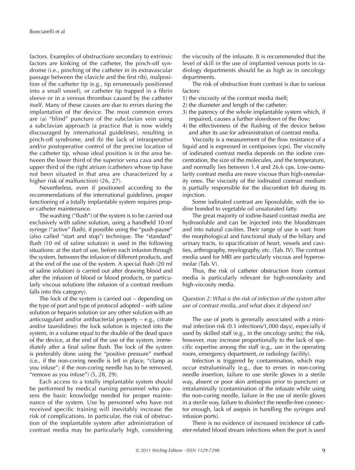factors. Examples of obstructions secondary to extrinsic factors are kinking of the catheter, the pinch-off syndrome (i.e., pinching of the catheter in its extravascular passage between the clavicle and the first rib), malposition of the catheter tip (e.g., tip erroneously positioned into a small vessel), or catheter tip trapped in a fibrin sleeve or in a venous thrombus caused by the catheter itself. Many of these causes are due to errors during the implantation of the device. The most common errors are (a) "blind" puncture of the subclavian vein using a subclavian approach (a practice that is now widely discouraged by international guidelines), resulting in pinch-off syndrome, and (b) the lack of intraoperative and/or postoperative control of the precise location of the catheter tip, whose ideal position is in the area between the lower third of the superior vena cava and the upper third of the right atrium (catheters whose tip have not been situated in that area are characterized by a higher risk of malfunction) (26, 27).

Nevertheless, even if positioned according to the recommendations of the international guidelines, proper functioning of a totally implantable system requires proper catheter maintenance.

The washing ("flush") of the system is to be carried out exclusively with saline solution, using a handheld 10-ml syringe ("active" flush), if possible using the "push-pause" (also called "start and stop") technique. The "standard" flush (10 ml of saline solution) is used in the following situations: at the start of use, before each infusion through the system, between the infusion of different products, and at the end of the use of the system. A special flush (20 ml of saline solution) is carried out after drawing blood and after the infusion of blood or blood products, or particularly viscous solutions (the infusion of a contrast medium falls into this category).

The lock of the system is carried out – depending on the type of port and type of protocol adopted – with saline solution or heparin solution (or any other solution with an anticoagulant and/or antibacterial property – e.g., citrate and/or taurolidine): the lock solution is injected into the system, in a volume equal to the double of the dead space of the device, at the end of the use of the system, immediately after a final saline flush. The lock of the system is preferably done using the "positive pressure" method (i.e., if the non-coring needle is left in place, "clamp as you infuse"; if the non-coring needle has to be removed, "remove as you infuse")  $(5, 28, 29)$ .

Each access to a totally implantable system should be performed by medical nursing personnel who possess the basic knowledge needed for proper maintenance of the system. Use by personnel who have not received specific training will inevitably increase the risk of complications. In particular, the risk of obstruction of the implantable system after administration of contrast media may be particularly high, considering

the viscosity of the infusate. It is recommended that the level of skill in the use of implanted venous ports in radiology departments should be as high as in oncology departments.

The risk of obstruction from contrast is due to various factors:

- 1) the viscosity of the contrast media itself;
- 2) the diameter and length of the catheter;
- 3) the patency of the whole implantable system which, if impaired, causes a further slowdown of the flow;
- 4) the effectiveness of the flushing of the device before and after its use for administration of contrast media.

Viscosity is a measurement of the flow resistance of a liquid and is expressed in centipoises (cps). The viscosity of iodinated contrast media depends on the iodine concentration, the size of the molecules, and the temperature, and normally lies between 1.4 and 26.6 cps. Low-osmolarity contrast media are more viscous than high-osmolarity ones. The viscosity of the iodinated contrast medium is partially responsible for the discomfort felt during its injection.

Some iodinated contrast are liposoluble, with the iodine bonded to vegetable oil unsaturated fatty.

The great majority of iodine-based contrast media are hydrosoluble and can be injected into the bloodstream and into natural cavities. Their range of use is vast: from the morphological and functional study of the biliary and urinary tracts, to opacification of heart, vessels and cavities, arthrography, myelography, etc. (Tab. IV). The contrast media used for MRI are particularly viscous and hyperosmolar (Tab. V).

Thus, the risk of catheter obstruction from contrast media is particularly relevant for high-osmolarity and high-viscosity media.

# *Question 2: What is the risk of infection of the system after use of contrast media, and what does it depend on?*

The use of ports is generally associated with a minimal infection risk (0.1 infections/1,000 days), especially if used by skilled staff (e.g., in the oncology units); the risk, however, may increase proportionally to the lack of specific expertise among the staff (e.g., use in the operating room, emergency department, or radiology facility).

Infection is triggered by contamination, which may occur extraluminally (e.g., due to errors in non-coring needle insertion, failure to use sterile gloves in a sterile way, absent or poor skin antisepsis prior to puncture) or intraluminally (contamination of the infusate while using the non-coring needle, failure in the use of sterile gloves in a sterile way, failure to disinfect the needle-free connector enough, lack of asepsis in handling the syringes and infusion ports).

There is no evidence of increased incidence of catheter-related blood stream infections when the port is used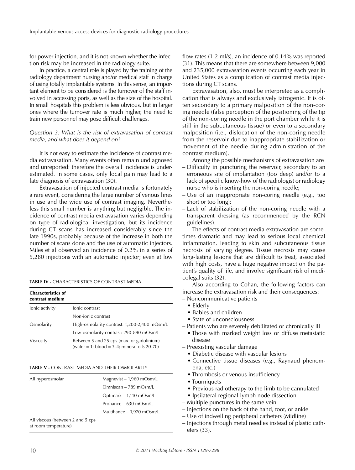for power injection, and it is not known whether the infection risk may be increased in the radiology suite.

In practice, a central role is played by the training of the radiology department nursing and/or medical staff in charge of using totally implantable systems. In this sense, an important element to be considered is the turnover of the staff involved in accessing ports, as well as the size of the hospital. In small hospitals this problem is less obvious, but in larger ones where the turnover rate is much higher, the need to train new personnel may pose difficult challenges.

## *Question 3: What is the risk of extravasation of contrast media, and what does it depend on?*

It is not easy to estimate the incidence of contrast media extravasation. Many events often remain undiagnosed and unreported: therefore the overall incidence is underestimated. In some cases, only local pain may lead to a late diagnosis of extravasation (30).

Extravasation of injected contrast media is fortunately a rare event, considering the large number of venous lines in use and the wide use of contrast imaging. Nevertheless this small number is anything but negligible. The incidence of contrast media extravasation varies depending on type of radiological investigation, but its incidence during CT scans has increased considerably since the late 1990s, probably because of the increase in both the number of scans done and the use of automatic injectors. Miles et al observed an incidence of 0.2% in a series of 5,280 injections with an automatic injector; even at low

#### **TABLE IV -** CHARACTERISTICS OF CONTRAST MEDIA

| <b>Characteristics of</b><br>contrast medium |                                                                                              |
|----------------------------------------------|----------------------------------------------------------------------------------------------|
| lonic activity                               | lonic contrast                                                                               |
|                                              | Non-jonic contrast                                                                           |
| Osmolarity                                   | High-osmolarity contrast: 1,200-2,400 mOsm/L                                                 |
|                                              | Low-osmolarity contrast: 290-890 mOsm/L                                                      |
| Viscosity                                    | Between 5 and 25 cps (max for gadolinium)<br>(water = 1; $b$ lood = 3-4; mineral oils 20-70) |

#### **TABLE V -** CONTRAST MEDIA AND THEIR OSMOLARITY

| All hyperosmolar                                         | Magnevist – 1,960 mOsm/L  |
|----------------------------------------------------------|---------------------------|
|                                                          | Omniscan – 789 mOsm/L     |
|                                                          | Optimark – 1,110 mOsm/L   |
|                                                          | Prohance – 630 m $Osm/L$  |
|                                                          | Multihance - 1,970 mOsm/L |
| All viscous (between 2 and 5 cps<br>at room temperature) |                           |
|                                                          |                           |

flow rates (1-2 ml/s), an incidence of 0.14% was reported (31). This means that there are somewhere between 9,000 and 235,000 extravasation events occurring each year in United States as a complication of contrast media injections during CT scans.

Extravasation, also, must be interpreted as a complication that is always and exclusively iatrogenic. It is often secondary to a primary malposition of the non-coring needle (false perception of the positioning of the tip of the non-coring needle in the port chamber while it is still in the subcutaneous tissue) or even to a secondary malposition (i.e., dislocation of the non-coring needle from the reservoir due to inappropriate stabilization or movement of the needle during administration of the contrast medium).

Among the possible mechanisms of extravasation are

- Difficulty in puncturing the reservoir, secondary to an erroneous site of implantation (too deep) and/or to a lack of specific know-how of the radiologist or radiology nurse who is inserting the non-coring needle;
- Use of an inappropriate non-coring needle (e.g., too short or too long);
- Lack of stabilization of the non-coring needle with a transparent dressing (as recommended by the RCN guidelines).

The effects of contrast media extravasation are sometimes dramatic and may lead to serious local chemical inflammation, leading to skin and subcutaneous tissue necrosis of varying degree. Tissue necrosis may cause long-lasting lesions that are difficult to treat, associated with high costs, have a huge negative impact on the patient's quality of life, and involve significant risk of medicolegal suits (32).

Also according to Cohan, the following factors can increase the extravasation risk and their consequences:

- Noncommunicative patients
	- $\bullet$  Elderly
	- Babies and children
	- State of unconsciousness
- Patients who are severely debilitated or chronically ill
	- Those with marked weight loss or diffuse metastatic disease
- Preexisting vascular damage
	- Diabetic disease with vascular lesions
	- Connective tissue diseases (e.g., Raynaud phenomena, etc.)
	- Thrombosis or venous insufficiency
	- Tourniquets
	- Previous radiotherapy to the limb to be cannulated
	- Ipsilateral regional lymph node dissection
- Multiple punctures in the same vein
- Injections on the back of the hand, foot, or ankle
- Use of indwelling peripheral catheters (Midline)
- Injections through metal needles instead of plastic catheters (33).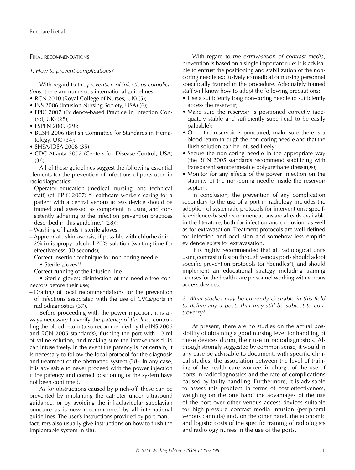FINAL RECOMMENDATIONS

*1. How to prevent complications?*

With regard to the *prevention of infectious complications*, there are numerous international guidelines:

- RCN 2010 (Royal College of Nurses, UK)  $(5)$ ;
- INS 2006 (Infusion Nursing Society, USA) (6);
- EPIC 2007 (Evidence-based Practice in Infection Control, UK) (28);
- ESPEN 2009 (29);
- BCSH 2006 (British Committee for Standards in Hematology, UK) (34);
- SHEA/IDSA 2008  $(35)$ ;
- CDC Atlanta 2002 (Centers for Disease Control, USA) (36).

All of these guidelines suggest the following essential elements for the prevention of infections of ports used in radiodiagnostics:

- Operator education (medical, nursing, and technical staff) (cf. EPIC 2007: "Healthcare workers caring for a patient with a central venous access device should be trained and assessed as competent in using and consistently adhering to the infection prevention practices described in this guideline." (28));
- Washing of hands + sterile gloves;
- Appropriate skin asepsis, if possible with chlorhexidine 2% in isopropyl alcohol 70% solution (waiting time for effectiveness: 30 seconds);
- Correct insertion technique for non-coring needle • Sterile gloves!!!
- Correct running of the infusion line

• Sterile gloves; disinfection of the needle-free connectors before their use;

– Drafting of local recommendations for the prevention of infections associated with the use of CVCs/ports in radiodiagnostics (37).

Before proceeding with the power injection, it is always necessary to verify the *patency of the line*, controlling the blood return (also recommended by the INS 2006 and RCN 2005 standards), flushing the port with 10 ml of saline solution, and making sure the intravenous fluid can infuse freely. In the event the patency is not certain, it is necessary to follow the local protocol for the diagnosis and treatment of the obstructed system (38). In any case, it is advisable to never proceed with the power injection if the patency and correct positioning of the system have not been confirmed.

As for obstructions caused by pinch-off, these can be prevented by implanting the catheter under ultrasound guidance, or by avoiding the infraclavicular subclavian puncture as is now recommended by all international guidelines. The user's instructions provided by port manufacturers also usually give instructions on how to flush the implantable system in situ.

With regard to *the extravasation of contrast media*, prevention is based on a single important rule: it is advisable to entrust the positioning and stabilization of the noncoring needle exclusively to medical or nursing personnel specifically trained in the procedure. Adequately trained staff will know how to adopt the following precautions:

- Use a sufficiently long non-coring needle to sufficiently access the reservoir;
- Make sure the reservoir is positioned correctly (adequately stable and sufficiently superficial to be easily palpable);
- Once the reservoir is punctured, make sure there is a blood return through the non-coring needle and that the flush solution can be infused freely;
- Secure the non-coring needle in the appropriate way (the RCN 2005 standards recommend stabilizing with transparent semipermeable polyurethane dressings);
- Monitor for any effects of the power injection on the stability of the non-coring needle inside the reservoir septum.

In conclusion, the prevention of any complication secondary to the use of a port in radiology includes the adoption of systematic protocols for interventions: specific evidence-based recommendations are already available in the literature, both for infection and occlusion, as well as for extravasation. Treatment protocols are well defined for infection and occlusion and somehow less empiric evidence exists for extravasation.

It is highly recommended that all radiological units using contrast infusion through venous ports should adopt specific prevention protocols (or "bundles"), and should implement an educational strategy including training courses for the health care personnel working with venous access devices.

# *2. What studies may be currently desirable in this field to define any aspects that may still be subject to controversy?*

At present, there are no studies on the actual possibility of obtaining a good nursing level for handling of these devices during their use in radiodiagnostics. Although strongly suggested by common sense, it would in any case be advisable to document, with specific clinical studies, the association between the level of training of the health care workers in charge of the use of ports in radiodiagnostics and the rate of complications caused by faulty handling. Furthermore, it is advisable to assess this problem in terms of cost-effectiveness, weighing on the one hand the advantages of the use of the port over other venous access devices suitable for high-pressure contrast media infusion (peripheral venous cannula) and, on the other hand, the economic and logistic costs of the specific training of radiologists and radiology nurses in the use of the ports.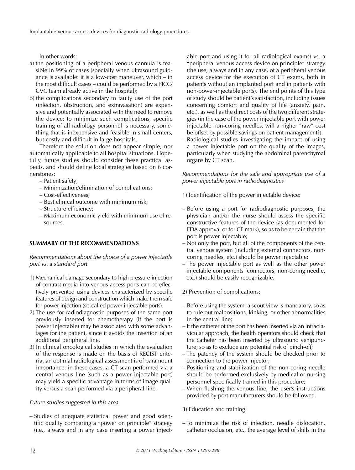In other words:

- a) the positioning of a peripheral venous cannula is feasible in 99% of cases (specially when ultrasound guidance is available: it is a low-cost maneuver, which – in the most difficult cases – could be performed by a PICC/ CVC team already active in the hospital);
- b) the complications secondary to faulty use of the port (infection, obstruction, and extravasation) are expensive and potentially associated with the need to remove the device; to minimize such complications, specific training of all radiology personnel is necessary, something that is inexpensive and feasible in small centers, but costly and difficult in large hospitals.

Therefore the solution does not appear simple, nor automatically applicable to all hospital situations. Hopefully, future studies should consider these practical aspects, and should define local strategies based on 6 cornerstones:

- Patient safety;
- Minimization/elimination of complications;
- Cost-effectiveness;
- Best clinical outcome with minimum risk;
- Structure efficiency;
- Maximum economic yield with minimum use of resources.

# **SUMMARY OF THE RECOMMENDATIONS**

*Recommendations about the choice of a power injectable port vs. a standard port*

- 1) Mechanical damage secondary to high pressure injection of contrast media into venous access ports can be effectively prevented using devices characterized by specific features of design and construction which make them safe for power injection (so-called power injectable ports).
- 2) The use for radiodiagnostic purposes of the same port previously inserted for chemotherapy (if the port is power injectable) may be associated with some advantages for the patient, since it avoids the insertion of an additional peripheral line.
- 3) In clinical oncological studies in which the evaluation of the response is made on the basis of RECIST criteria, an optimal radiological assessment is of paramount importance: in these cases, a CT scan performed via a central venous line (such as a power injectable port) may yield a specific advantage in terms of image quality versus a scan performed via a peripheral line.

#### *Future studies suggested in this area*

– Studies of adequate statistical power and good scientific quality comparing a "power on principle" strategy (i.e., always and in any case inserting a power injectable port and using it for all radiological exams) vs. a "peripheral venous access device on principle" strategy (the use, always and in any case, of a peripheral venous access device for the execution of CT exams, both in patients without an implanted port and in patients with non-power-injectable ports). The end points of this type of study should be patient's satisfaction, including issues concerning comfort and quality of life (anxiety, pain, etc.), as well as the direct costs of the two different strategies (in the case of the power injectable port with power injectable non-coring needles, will a higher "raw" cost be offset by possible savings on patient management?).

– Radiological studies investigating the impact of using a power injectable port on the quality of the images, particularly when studying the abdominal parenchymal organs by CT scan.

*Recommendations for the safe and appropriate use of a power injectable port in radiodiagnostics*

1) Identification of the power injectable device:

- Before using a port for radiodiagnostic purposes, the physician and/or the nurse should assess the specific constructive features of the device (as documented for FDA approval or for CE mark), so as to be certain that the port is power injectable;
- Not only the port, but all of the components of the central venous system (including external connectors, noncoring needles, etc.) should be power injectable;
- The power injectable port as well as the other power injectable components (connectors, non-coring needle, etc.) should be easily recognizable.
- 2) Prevention of complications:
- Before using the system, a scout view is mandatory, so as to rule out malpositions, kinking, or other abnormalities in the central line;
- If the catheter of the port has been inserted via an infraclavicular approach, the health operators should check that the catheter has been inserted by ultrasound venipuncture, so as to exclude any potential risk of pinch-off;
- The patency of the system should be checked prior to connection to the power injector;
- Positioning and stabilization of the non-coring needle should be performed exclusively by medical or nursing personnel specifically trained in this procedure;
- When flushing the venous line, the user's instructions provided by port manufacturers should be followed.

3) Education and training:

– To minimize the risk of infection, needle dislocation, catheter occlusion, etc., the average level of skills in the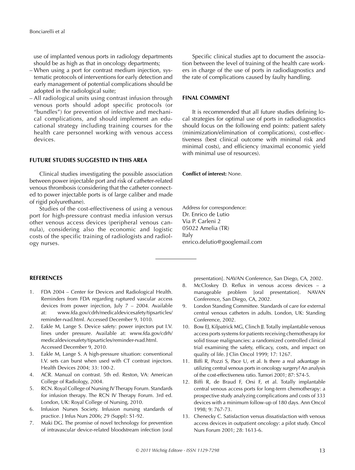use of implanted venous ports in radiology departments should be as high as that in oncology departments;

- When using a port for contrast medium injection, systematic protocols of interventions for early detection and early management of potential complications should be adopted in the radiological suite;
- All radiological units using contrast infusion through venous ports should adopt specific protocols (or "bundles") for prevention of infective and mechanical complications, and should implement an educational strategy including training courses for the health care personnel working with venous access devices.

# **FUTURE STUDIES SUGGESTED IN THIS AREA**

Clinical studies investigating the possible association between power injectable port and risk of catheter-related venous thrombosis (considering that the catheter connected to power injectable ports is of large caliber and made of rigid polyurethane).

Studies of the cost-effectiveness of using a venous port for high-pressure contrast media infusion versus other venous access devices (peripheral venous cannula), considering also the economic and logistic costs of the specific training of radiologists and radiology nurses.

# Specific clinical studies apt to document the association between the level of training of the health care workers in charge of the use of ports in radiodiagnostics and the rate of complications caused by faulty handling.

# **FINAL COMMENT**

It is recommended that all future studies defining local strategies for optimal use of ports in radiodiagnostics should focus on the following end points: patient safety (minimization/elimination of complications), cost-effectiveness (best clinical outcome with minimal risk and minimal costs), and efficiency (maximal economic yield with minimal use of resources).

**Conflict of interest:** None.

Address for correspondence: Dr. Enrico de Lutio Via P. Carleni 2 05022 Amelia (TR) Italy enrico.delutio@googlemail.com

# **REFERENCES**

- 1. FDA 2004 Center for Devices and Radiological Health. Reminders from FDA regarding ruptured vascular access devices from power injection, July 7 – 2004. Available at: www.fda.gov/cdrh/medicaldevicesafety/tipsarticles/ reminder-rvad.html. Accessed December 9, 1010.
- 2. Eakle M, Lange S. Device safety: power injectors put I.V. lines under pressure. Available at: www.fda.gov/cdrh/ medicaldevicesafety/tipsarticles/reminder-rvad.html. Accessed December 9, 2010.
- 3. Eakle M, Lange S. A high-pressure situation: conventional I.V. sets can burst when used with CT contrast injectors. Health Devices 2004; 33: 100-2.
- 4. ACR. Manual on contrast. 5th ed. Reston, VA: American College of Radiology, 2004.
- 5. RCN. Royal College of Nursing IV Therapy Forum. Standards for infusion therapy. The RCN IV Therapy Forum. 3rd ed. London, UK: Royal College of Nursing, 2010.
- 6. Infusion Nurses Society. Infusion nursing standards of practice. J Infus Nurs 2006; 29 (Suppl): S1-92.
- 7. Maki DG. The promise of novel technology for prevention of intravascular device-related bloodstream infection [oral

presentation]. NAVAN Conference, San Diego, CA, 2002.

- 8. McCloskey D. Reflux in venous access devices a manageable problem [oral presentation]. NAVAN Conference, San Diego, CA, 2002.
- 9. London Standing Committee. Standards of care for external central venous catheters in adults. London, UK: Standing Conference, 2002.
- 10. Bow EJ, Kilpatrick MG, Clinch JJ. Totally implantable venous access ports systems for patients receiving chemotherapy for solid tissue malignancies: a randomized controlled clinical trial examining the safety, efficacy, costs, and impact on quality of life. J Clin Oncol 1999; 17: 1267.
- 11. Biffi R, Pozzi S, Pace U, et al. Is there a real advantage in utilizing central venous ports in oncology surgery? An analysis of the cost-effectiveness ratio. Tumori 2001; 87: S74-5.
- 12. Biffi R, de Braud F, Orsi F, et al. Totally implantable central venous access ports for long-term chemotherapy: a prospective study analyzing complications and costs of 333 devices with a minimum follow-up of 180 days. Ann Oncol 1998; 9: 767-73.
- 13. Chenecky C. Satisfaction versus dissatisfaction with venous access devices in outpatient oncology: a pilot study. Oncol Nurs Forum 2001; 28: 1613-6.